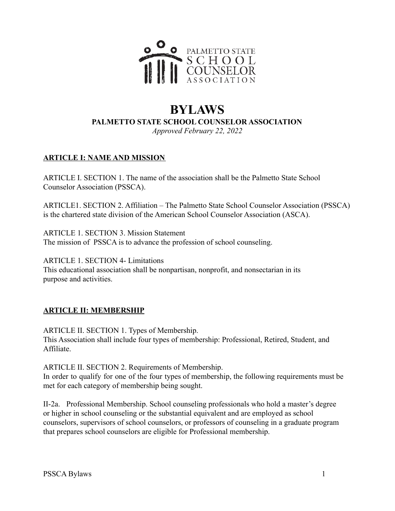

# **BYLAWS PALMETTO STATE SCHOOL COUNSELOR ASSOCIATION**

*Approved February 22, 2022*

### **ARTICLE I: NAME AND MISSION**

ARTICLE I. SECTION 1. The name of the association shall be the Palmetto State School Counselor Association (PSSCA).

ARTICLE1. SECTION 2. Affiliation – The Palmetto State School Counselor Association (PSSCA) is the chartered state division of the American School Counselor Association (ASCA).

ARTICLE 1. SECTION 3. Mission Statement The mission of PSSCA is to advance the profession of school counseling.

ARTICLE 1. SECTION 4- Limitations This educational association shall be nonpartisan, nonprofit, and nonsectarian in its purpose and activities.

#### **ARTICLE II: MEMBERSHIP**

ARTICLE II. SECTION 1. Types of Membership. This Association shall include four types of membership: Professional, Retired, Student, and Affiliate.

ARTICLE II. SECTION 2. Requirements of Membership. In order to qualify for one of the four types of membership, the following requirements must be met for each category of membership being sought.

II-2a. Professional Membership. School counseling professionals who hold a master's degree or higher in school counseling or the substantial equivalent and are employed as school counselors, supervisors of school counselors, or professors of counseling in a graduate program that prepares school counselors are eligible for Professional membership.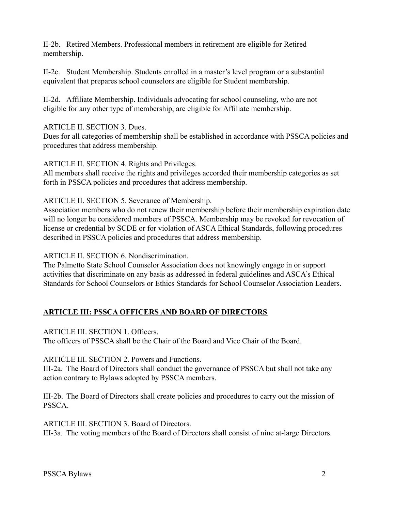II-2b. Retired Members. Professional members in retirement are eligible for Retired membership.

II-2c. Student Membership. Students enrolled in a master's level program or a substantial equivalent that prepares school counselors are eligible for Student membership.

II-2d. Affiliate Membership. Individuals advocating for school counseling, who are not eligible for any other type of membership, are eligible for Affiliate membership.

ARTICLE II. SECTION 3. Dues.

Dues for all categories of membership shall be established in accordance with PSSCA policies and procedures that address membership.

ARTICLE II. SECTION 4. Rights and Privileges.

All members shall receive the rights and privileges accorded their membership categories as set forth in PSSCA policies and procedures that address membership.

ARTICLE II. SECTION 5. Severance of Membership.

Association members who do not renew their membership before their membership expiration date will no longer be considered members of PSSCA. Membership may be revoked for revocation of license or credential by SCDE or for violation of ASCA Ethical Standards, following procedures described in PSSCA policies and procedures that address membership.

ARTICLE II. SECTION 6. Nondiscrimination.

The Palmetto State School Counselor Association does not knowingly engage in or support activities that discriminate on any basis as addressed in federal guidelines and ASCA's Ethical Standards for School Counselors or Ethics Standards for School Counselor Association Leaders.

# **ARTICLE III: PSSCA OFFICERS AND BOARD OF DIRECTORS**

ARTICLE III. SECTION 1. Officers.

The officers of PSSCA shall be the Chair of the Board and Vice Chair of the Board.

ARTICLE III. SECTION 2. Powers and Functions.

III-2a. The Board of Directors shall conduct the governance of PSSCA but shall not take any action contrary to Bylaws adopted by PSSCA members.

III-2b. The Board of Directors shall create policies and procedures to carry out the mission of PSSCA.

ARTICLE III. SECTION 3. Board of Directors.

III-3a. The voting members of the Board of Directors shall consist of nine at-large Directors.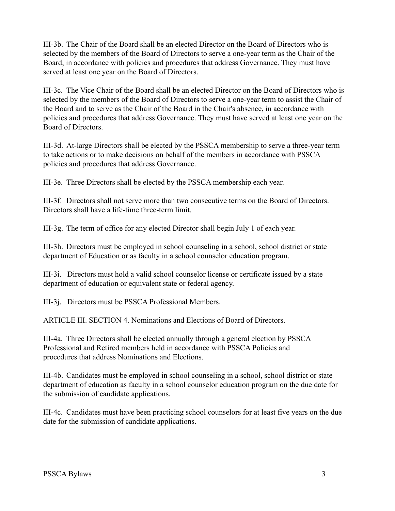III-3b. The Chair of the Board shall be an elected Director on the Board of Directors who is selected by the members of the Board of Directors to serve a one-year term as the Chair of the Board, in accordance with policies and procedures that address Governance. They must have served at least one year on the Board of Directors.

III-3c. The Vice Chair of the Board shall be an elected Director on the Board of Directors who is selected by the members of the Board of Directors to serve a one-year term to assist the Chair of the Board and to serve as the Chair of the Board in the Chair's absence, in accordance with policies and procedures that address Governance. They must have served at least one year on the Board of Directors.

III-3d. At-large Directors shall be elected by the PSSCA membership to serve a three-year term to take actions or to make decisions on behalf of the members in accordance with PSSCA policies and procedures that address Governance.

III-3e. Three Directors shall be elected by the PSSCA membership each year.

III-3f. Directors shall not serve more than two consecutive terms on the Board of Directors. Directors shall have a life-time three-term limit.

III-3g. The term of office for any elected Director shall begin July 1 of each year.

III-3h. Directors must be employed in school counseling in a school, school district or state department of Education or as faculty in a school counselor education program.

III-3i. Directors must hold a valid school counselor license or certificate issued by a state department of education or equivalent state or federal agency.

III-3j. Directors must be PSSCA Professional Members.

ARTICLE III. SECTION 4. Nominations and Elections of Board of Directors.

III-4a. Three Directors shall be elected annually through a general election by PSSCA Professional and Retired members held in accordance with PSSCA Policies and procedures that address Nominations and Elections.

III-4b. Candidates must be employed in school counseling in a school, school district or state department of education as faculty in a school counselor education program on the due date for the submission of candidate applications.

III-4c. Candidates must have been practicing school counselors for at least five years on the due date for the submission of candidate applications.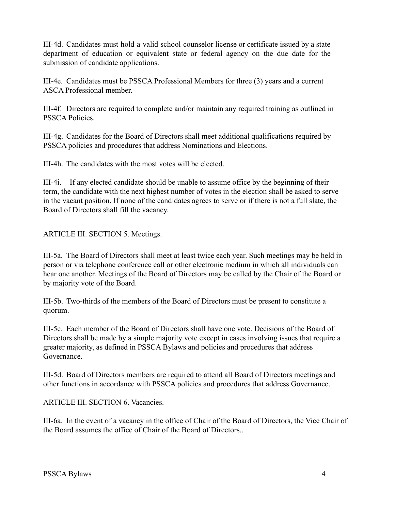III-4d. Candidates must hold a valid school counselor license or certificate issued by a state department of education or equivalent state or federal agency on the due date for the submission of candidate applications.

III-4e. Candidates must be PSSCA Professional Members for three (3) years and a current ASCA Professional member.

III-4f. Directors are required to complete and/or maintain any required training as outlined in PSSCA Policies.

III-4g. Candidates for the Board of Directors shall meet additional qualifications required by PSSCA policies and procedures that address Nominations and Elections.

III-4h. The candidates with the most votes will be elected.

III-4i. If any elected candidate should be unable to assume office by the beginning of their term, the candidate with the next highest number of votes in the election shall be asked to serve in the vacant position. If none of the candidates agrees to serve or if there is not a full slate, the Board of Directors shall fill the vacancy.

ARTICLE III. SECTION 5. Meetings.

III-5a. The Board of Directors shall meet at least twice each year. Such meetings may be held in person or via telephone conference call or other electronic medium in which all individuals can hear one another. Meetings of the Board of Directors may be called by the Chair of the Board or by majority vote of the Board.

III-5b. Two-thirds of the members of the Board of Directors must be present to constitute a quorum.

III-5c. Each member of the Board of Directors shall have one vote. Decisions of the Board of Directors shall be made by a simple majority vote except in cases involving issues that require a greater majority, as defined in PSSCA Bylaws and policies and procedures that address Governance.

III-5d. Board of Directors members are required to attend all Board of Directors meetings and other functions in accordance with PSSCA policies and procedures that address Governance.

ARTICLE III. SECTION 6. Vacancies.

III-6a. In the event of a vacancy in the office of Chair of the Board of Directors, the Vice Chair of the Board assumes the office of Chair of the Board of Directors..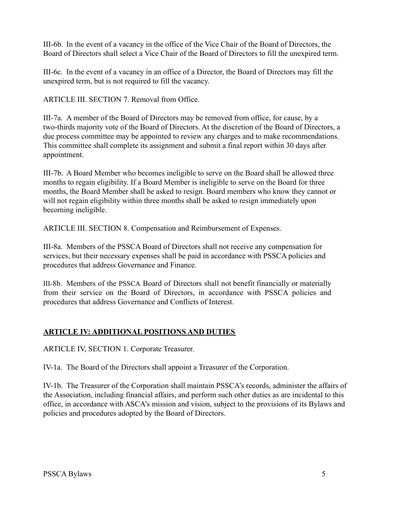III-6b. In the event of a vacancy in the office of the Vice Chair of the Board of Directors, the Board of Directors shall select a Vice Chair of the Board of Directors to fill the unexpired term.

III-6c. In the event of a vacancy in an office of a Director, the Board of Directors may fill the unexpired term, but is not required to fill the vacancy.

ARTICLE III. SECTION 7. Removal from Office.

III-7a. A member of the Board of Directors may be removed from office, for cause, by a two-thirds majority vote of the Board of Directors. At the discretion of the Board of Directors, a due process committee may be appointed to review any charges and to make recommendations. This committee shall complete its assignment and submit a final report within 30 days after appointment.

III-7b. A Board Member who becomes ineligible to serve on the Board shall be allowed three months to regain eligibility. If a Board Member is ineligible to serve on the Board for three months, the Board Member shall be asked to resign. Board members who know they cannot or will not regain eligibility within three months shall be asked to resign immediately upon becoming ineligible.

ARTICLE III. SECTION 8. Compensation and Reimbursement of Expenses.

III-8a. Members of the PSSCA Board of Directors shall not receive any compensation for services, but their necessary expenses shall be paid in accordance with PSSCA policies and procedures that address Governance and Finance.

III-8b. Members of the PSSCA Board of Directors shall not benefit financially or materially from their service on the Board of Directors, in accordance with PSSCA policies and procedures that address Governance and Conflicts of Interest.

# **ARTICLE IV: ADDITIONAL POSITIONS AND DUTIES**

ARTICLE IV, SECTION 1. Corporate Treasurer.

IV-1a. The Board of the Directors shall appoint a Treasurer of the Corporation.

IV-1b. The Treasurer of the Corporation shall maintain PSSCA's records, administer the affairs of the Association, including financial affairs, and perform such other duties as are incidental to this office, in accordance with ASCA's mission and vision, subject to the provisions of its Bylaws and policies and procedures adopted by the Board of Directors.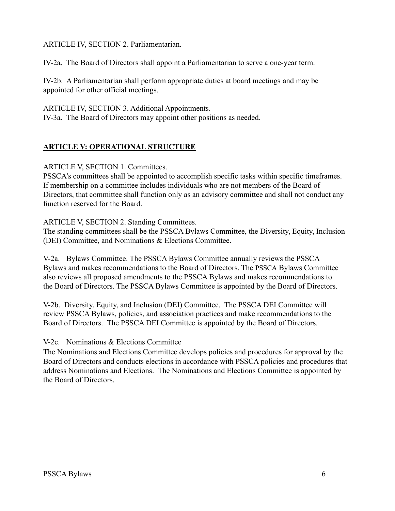ARTICLE IV, SECTION 2. Parliamentarian.

IV-2a. The Board of Directors shall appoint a Parliamentarian to serve a one-year term.

IV-2b. A Parliamentarian shall perform appropriate duties at board meetings and may be appointed for other official meetings.

ARTICLE IV, SECTION 3. Additional Appointments. IV-3a. The Board of Directors may appoint other positions as needed.

### **ARTICLE V: OPERATIONAL STRUCTURE**

ARTICLE V, SECTION 1. Committees.

PSSCA's committees shall be appointed to accomplish specific tasks within specific timeframes. If membership on a committee includes individuals who are not members of the Board of Directors, that committee shall function only as an advisory committee and shall not conduct any function reserved for the Board.

ARTICLE V, SECTION 2. Standing Committees.

The standing committees shall be the PSSCA Bylaws Committee, the Diversity, Equity, Inclusion (DEI) Committee, and Nominations & Elections Committee.

V-2a. Bylaws Committee. The PSSCA Bylaws Committee annually reviews the PSSCA Bylaws and makes recommendations to the Board of Directors. The PSSCA Bylaws Committee also reviews all proposed amendments to the PSSCA Bylaws and makes recommendations to the Board of Directors. The PSSCA Bylaws Committee is appointed by the Board of Directors.

V-2b. Diversity, Equity, and Inclusion (DEI) Committee. The PSSCA DEI Committee will review PSSCA Bylaws, policies, and association practices and make recommendations to the Board of Directors. The PSSCA DEI Committee is appointed by the Board of Directors.

#### V-2c. Nominations & Elections Committee

The Nominations and Elections Committee develops policies and procedures for approval by the Board of Directors and conducts elections in accordance with PSSCA policies and procedures that address Nominations and Elections. The Nominations and Elections Committee is appointed by the Board of Directors.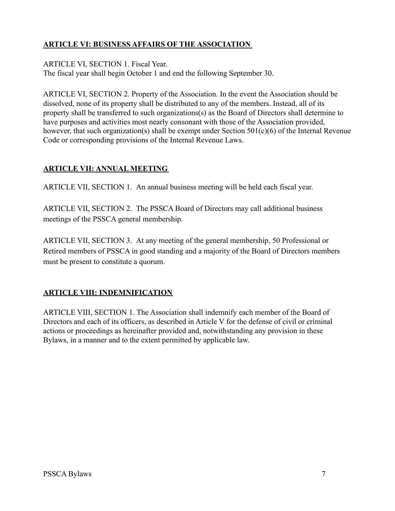# **ARTICLE VI: BUSINESS AFFAIRS OF THE ASSOCIATION**

ARTICLE VI, SECTION 1. Fiscal Year.

The fiscal year shall begin October 1 and end the following September 30.

ARTICLE VI, SECTION 2. Property of the Association. In the event the Association should be dissolved, none of its property shall be distributed to any of the members. Instead, all of its property shall be transferred to such organizations(s) as the Board of Directors shall determine to have purposes and activities most nearly consonant with those of the Association provided, however, that such organization(s) shall be exempt under Section 501(c)(6) of the Internal Revenue Code or corresponding provisions of the Internal Revenue Laws.

### **ARTICLE VII: ANNUAL MEETING**

ARTICLE VII, SECTION 1. An annual business meeting will be held each fiscal year.

ARTICLE VII, SECTION 2. The PSSCA Board of Directors may call additional business meetings of the PSSCA general membership.

ARTICLE VII, SECTION 3. At any meeting of the general membership, 50 Professional or Retired members of PSSCA in good standing and a majority of the Board of Directors members must be present to constitute a quorum.

# **ARTICLE VIII: INDEMNIFICATION**

ARTICLE VIII, SECTION 1. The Association shall indemnify each member of the Board of Directors and each of its officers, as described in Article V for the defense of civil or criminal actions or proceedings as hereinafter provided and, notwithstanding any provision in these Bylaws, in a manner and to the extent permitted by applicable law.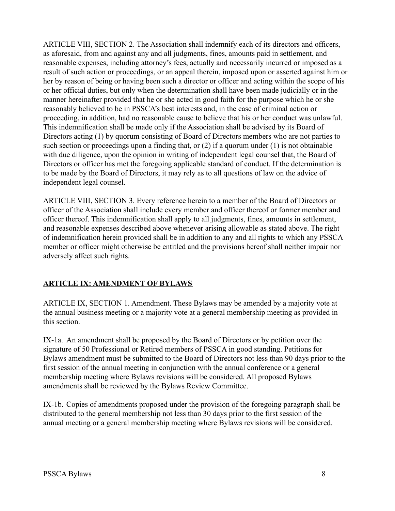ARTICLE VIII, SECTION 2. The Association shall indemnify each of its directors and officers, as aforesaid, from and against any and all judgments, fines, amounts paid in settlement, and reasonable expenses, including attorney's fees, actually and necessarily incurred or imposed as a result of such action or proceedings, or an appeal therein, imposed upon or asserted against him or her by reason of being or having been such a director or officer and acting within the scope of his or her official duties, but only when the determination shall have been made judicially or in the manner hereinafter provided that he or she acted in good faith for the purpose which he or she reasonably believed to be in PSSCA's best interests and, in the case of criminal action or proceeding, in addition, had no reasonable cause to believe that his or her conduct was unlawful. This indemnification shall be made only if the Association shall be advised by its Board of Directors acting (1) by quorum consisting of Board of Directors members who are not parties to such section or proceedings upon a finding that, or (2) if a quorum under (1) is not obtainable with due diligence, upon the opinion in writing of independent legal counsel that, the Board of Directors or officer has met the foregoing applicable standard of conduct. If the determination is to be made by the Board of Directors, it may rely as to all questions of law on the advice of independent legal counsel.

ARTICLE VIII, SECTION 3. Every reference herein to a member of the Board of Directors or officer of the Association shall include every member and officer thereof or former member and officer thereof. This indemnification shall apply to all judgments, fines, amounts in settlement, and reasonable expenses described above whenever arising allowable as stated above. The right of indemnification herein provided shall be in addition to any and all rights to which any PSSCA member or officer might otherwise be entitled and the provisions hereof shall neither impair nor adversely affect such rights.

#### **ARTICLE IX: AMENDMENT OF BYLAWS**

ARTICLE IX, SECTION 1. Amendment. These Bylaws may be amended by a majority vote at the annual business meeting or a majority vote at a general membership meeting as provided in this section.

IX-1a. An amendment shall be proposed by the Board of Directors or by petition over the signature of 50 Professional or Retired members of PSSCA in good standing. Petitions for Bylaws amendment must be submitted to the Board of Directors not less than 90 days prior to the first session of the annual meeting in conjunction with the annual conference or a general membership meeting where Bylaws revisions will be considered. All proposed Bylaws amendments shall be reviewed by the Bylaws Review Committee.

IX-1b. Copies of amendments proposed under the provision of the foregoing paragraph shall be distributed to the general membership not less than 30 days prior to the first session of the annual meeting or a general membership meeting where Bylaws revisions will be considered.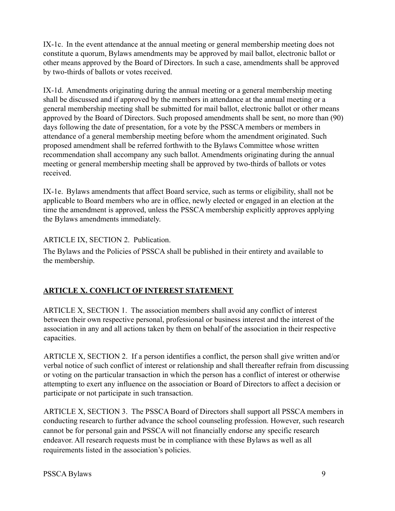IX-1c. In the event attendance at the annual meeting or general membership meeting does not constitute a quorum, Bylaws amendments may be approved by mail ballot, electronic ballot or other means approved by the Board of Directors. In such a case, amendments shall be approved by two-thirds of ballots or votes received.

IX-1d. Amendments originating during the annual meeting or a general membership meeting shall be discussed and if approved by the members in attendance at the annual meeting or a general membership meeting shall be submitted for mail ballot, electronic ballot or other means approved by the Board of Directors. Such proposed amendments shall be sent, no more than (90) days following the date of presentation, for a vote by the PSSCA members or members in attendance of a general membership meeting before whom the amendment originated. Such proposed amendment shall be referred forthwith to the Bylaws Committee whose written recommendation shall accompany any such ballot. Amendments originating during the annual meeting or general membership meeting shall be approved by two-thirds of ballots or votes received.

IX-1e. Bylaws amendments that affect Board service, such as terms or eligibility, shall not be applicable to Board members who are in office, newly elected or engaged in an election at the time the amendment is approved, unless the PSSCA membership explicitly approves applying the Bylaws amendments immediately.

#### ARTICLE IX, SECTION 2. Publication.

The Bylaws and the Policies of PSSCA shall be published in their entirety and available to the membership.

# **ARTICLE X. CONFLICT OF INTEREST STATEMENT**

ARTICLE X, SECTION 1. The association members shall avoid any conflict of interest between their own respective personal, professional or business interest and the interest of the association in any and all actions taken by them on behalf of the association in their respective capacities.

ARTICLE X, SECTION 2. If a person identifies a conflict, the person shall give written and/or verbal notice of such conflict of interest or relationship and shall thereafter refrain from discussing or voting on the particular transaction in which the person has a conflict of interest or otherwise attempting to exert any influence on the association or Board of Directors to affect a decision or participate or not participate in such transaction.

ARTICLE X, SECTION 3. The PSSCA Board of Directors shall support all PSSCA members in conducting research to further advance the school counseling profession. However, such research cannot be for personal gain and PSSCA will not financially endorse any specific research endeavor. All research requests must be in compliance with these Bylaws as well as all requirements listed in the association's policies.